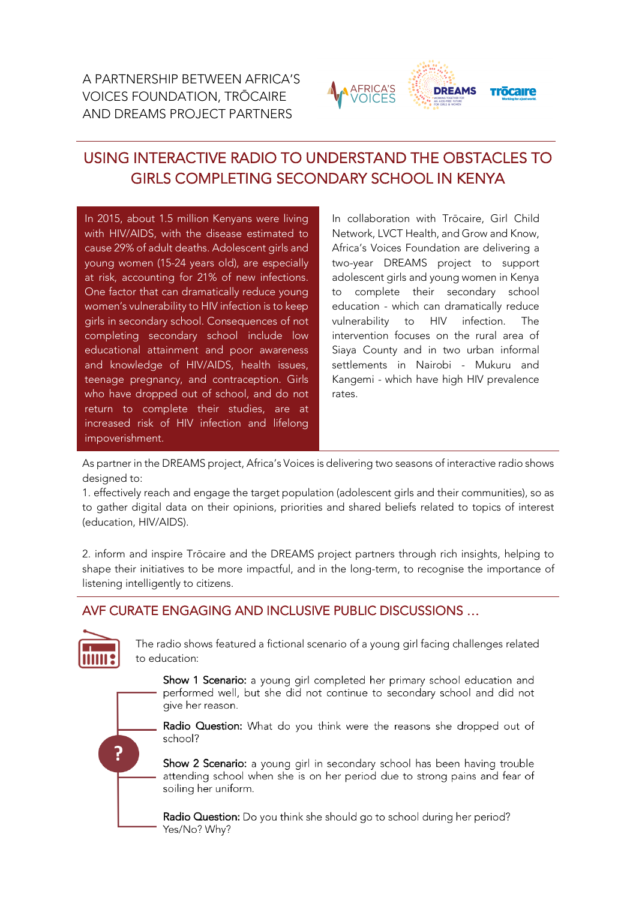

# USING INTERACTIVE RADIO TO UNDERSTAND THE OBSTACLES TO GIRLS COMPLETING SECONDARY SCHOOL IN KENYA

In 2015, about 1.5 million Kenyans were living with HIV/AIDS, with the disease estimated to cause 29% of adult deaths. Adolescent girls and young women (15-24 years old), are especially at risk, accounting for 21% of new infections. One factor that can dramatically reduce young women's vulnerability to HIV infection is to keep girls in secondary school. Consequences of not completing secondary school include low educational attainment and poor awareness and knowledge of HIV/AIDS, health issues, teenage pregnancy, and contraception. Girls who have dropped out of school, and do not return to complete their studies, are at increased risk of HIV infection and lifelong impoverishment.

In collaboration with Trōcaire, Girl Child Network, LVCT Health, and Grow and Know, Africa's Voices Foundation are delivering a two-year DREAMS project to support adolescent girls and young women in Kenya to complete their secondary school education - which can dramatically reduce vulnerability to HIV infection. The intervention focuses on the rural area of Siaya County and in two urban informal settlements in Nairobi - Mukuru and Kangemi - which have high HIV prevalence rates.

As partner in the DREAMS project, Africa's Voices is delivering two seasons of interactive radio shows designed to:

1. effectively reach and engage the target population (adolescent girls and their communities), so as to gather digital data on their opinions, priorities and shared beliefs related to topics of interest (education, HIV/AIDS).

2. inform and inspire Trōcaire and the DREAMS project partners through rich insights, helping to shape their initiatives to be more impactful, and in the long-term, to recognise the importance of listening intelligently to citizens.

## AVF CURATE ENGAGING AND INCLUSIVE PUBLIC DISCUSSIONS …



The radio shows featured a fictional scenario of a young girl facing challenges related to education:

Show 1 Scenario: a young girl completed her primary school education and performed well, but she did not continue to secondary school and did not give her reason.

?

Radio Question: What do you think were the reasons she dropped out of school?

Show 2 Scenario: a young girl in secondary school has been having trouble attending school when she is on her period due to strong pains and fear of soiling her uniform.

Radio Question: Do you think she should go to school during her period? Yes/No? Why?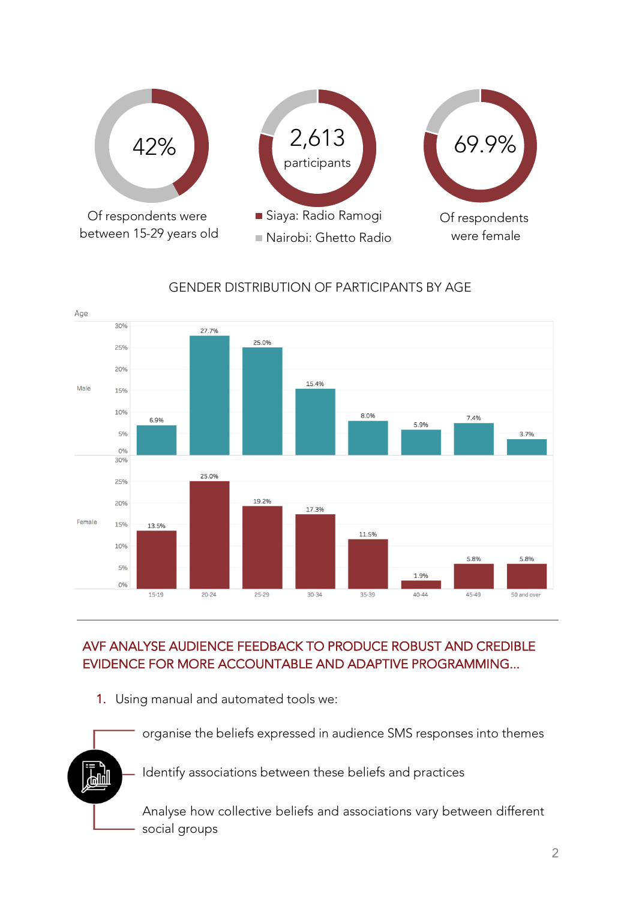

## GENDER DISTRIBUTION OF PARTICIPANTS BY AGE



## AVF ANALYSE AUDIENCE FEEDBACK TO PRODUCE ROBUST AND CREDIBLE EVIDENCE FOR MORE ACCOUNTABLE AND ADAPTIVE PROGRAMMING...

1. Using manual and automated tools we:

organise the beliefs expressed in audience SMS responses into themes Identify associations between these beliefs and practices ሥ¶ Analyse how collective beliefs and associations vary between different social groups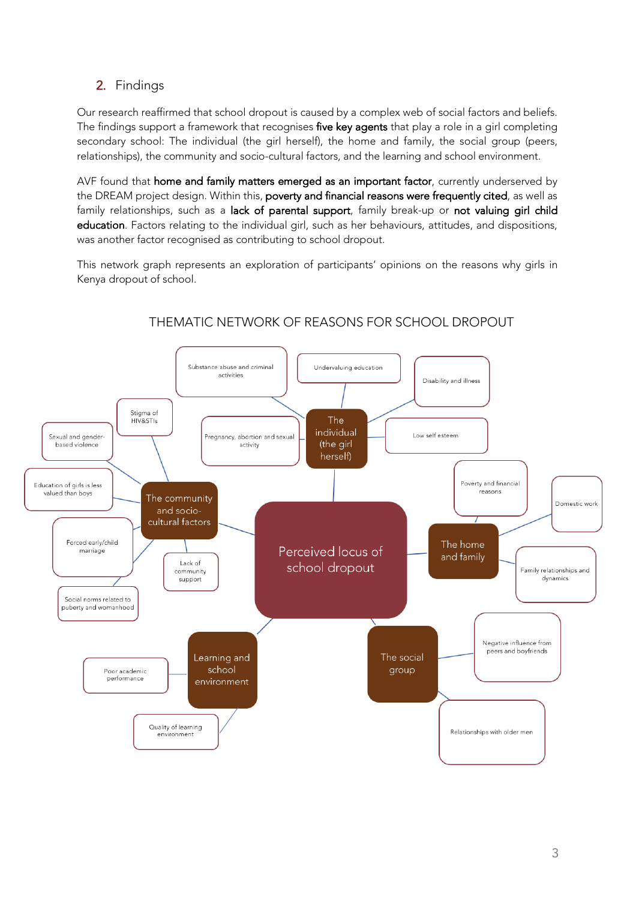## 2. Findings

Our research reaffirmed that school dropout is caused by a complex web of social factors and beliefs. The findings support a framework that recognises five key agents that play a role in a girl completing secondary school: The individual (the girl herself), the home and family, the social group (peers, relationships), the community and socio-cultural factors, and the learning and school environment.

AVF found that home and family matters emerged as an important factor, currently underserved by the DREAM project design. Within this, poverty and financial reasons were frequently cited, as well as family relationships, such as a lack of parental support, family break-up or not valuing girl child education. Factors relating to the individual girl, such as her behaviours, attitudes, and dispositions, was another factor recognised as contributing to school dropout.

This network graph represents an exploration of participants' opinions on the reasons why girls in Kenya dropout of school.



## THEMATIC NETWORK OF REASONS FOR SCHOOL DROPOUT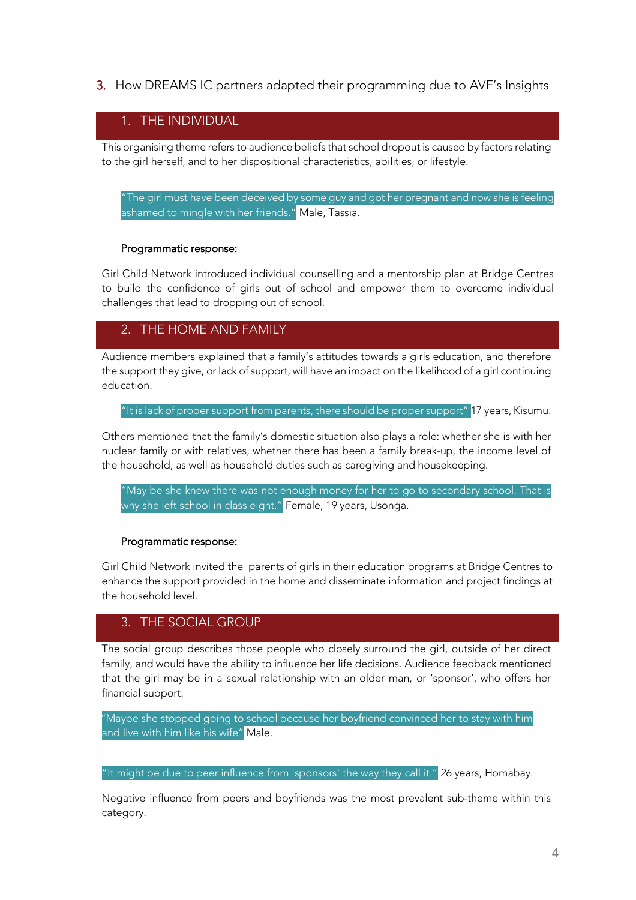3. How DREAMS IC partners adapted their programming due to AVF's Insights

### 1. THE INDIVIDUAL

This organising theme refers to audience beliefs that school dropout is caused by factors relating to the girl herself, and to her dispositional characteristics, abilities, or lifestyle.

"The girl must have been deceived by some guy and got her pregnant and now she is feeling ashamed to mingle with her friends." Male, Tassia.

#### Programmatic response:

Girl Child Network introduced individual counselling and a mentorship plan at Bridge Centres to build the confidence of girls out of school and empower them to overcome individual challenges that lead to dropping out of school.

### 2. THE HOME AND FAMILY

Audience members explained that a family's attitudes towards a girls education, and therefore the support they give, or lack of support, will have an impact on the likelihood of a girl continuing education.

"It is lack of proper support from parents, there should be proper support" 17 years, Kisumu.

Others mentioned that the family's domestic situation also plays a role: whether she is with her nuclear family or with relatives, whether there has been a family break-up, the income level of the household, as well as household duties such as caregiving and housekeeping.

"May be she knew there was not enough money for her to go to secondary school. That is why she left school in class eight." Female, 19 years, Usonga.

#### Programmatic response:

Girl Child Network invited the parents of girls in their education programs at Bridge Centres to enhance the support provided in the home and disseminate information and project findings at the household level.

## 3. THE SOCIAL GROUP

The social group describes those people who closely surround the girl, outside of her direct family, and would have the ability to influence her life decisions. Audience feedback mentioned that the girl may be in a sexual relationship with an older man, or 'sponsor', who offers her financial support.

"Maybe she stopped going to school because her boyfriend convinced her to stay with him and live with him like his wife" Male.

"It might be due to peer influence from 'sponsors' the way they call it." 26 years, Homabay.

Negative influence from peers and boyfriends was the most prevalent sub-theme within this category.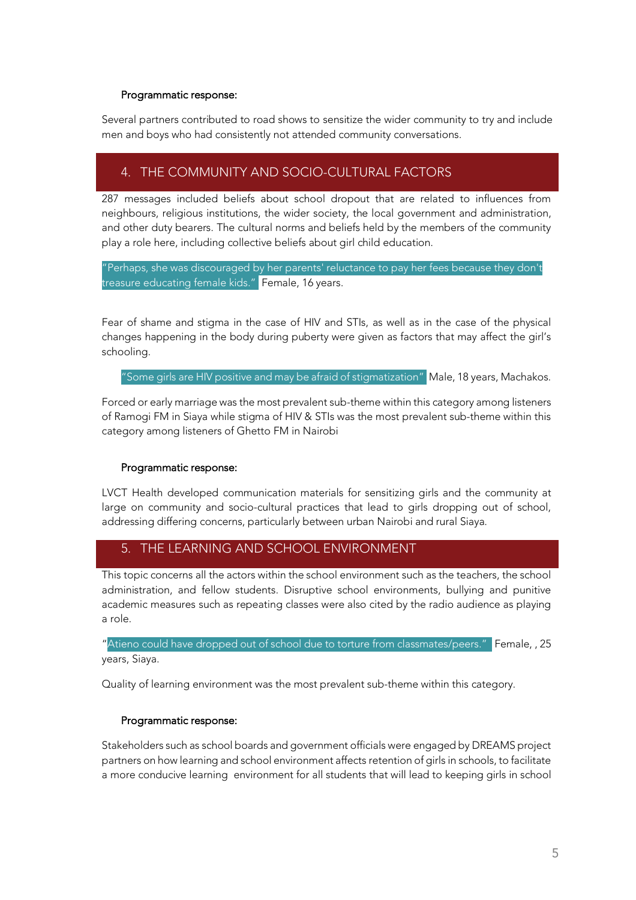#### Programmatic response:

Several partners contributed to road shows to sensitize the wider community to try and include men and boys who had consistently not attended community conversations.

## 4. THE COMMUNITY AND SOCIO-CULTURAL FACTORS

287 messages included beliefs about school dropout that are related to influences from neighbours, religious institutions, the wider society, the local government and administration, and other duty bearers. The cultural norms and beliefs held by the members of the community play a role here, including collective beliefs about girl child education.

"Perhaps, she was discouraged by her parents' reluctance to pay her fees because they don't treasure educating female kids." Female, 16 years.

Fear of shame and stigma in the case of HIV and STIs, as well as in the case of the physical changes happening in the body during puberty were given as factors that may affect the girl's schooling.

"Some girls are HIV positive and may be afraid of stigmatization" Male, 18 years, Machakos.

Forced or early marriage was the most prevalent sub-theme within this category among listeners of Ramogi FM in Siaya while stigma of HIV & STIs was the most prevalent sub-theme within this category among listeners of Ghetto FM in Nairobi

#### Programmatic response:

LVCT Health developed communication materials for sensitizing girls and the community at large on community and socio-cultural practices that lead to girls dropping out of school, addressing differing concerns, particularly between urban Nairobi and rural Siaya.

## 5. THE LEARNING AND SCHOOL ENVIRONMENT

This topic concerns all the actors within the school environment such as the teachers, the school administration, and fellow students. Disruptive school environments, bullying and punitive academic measures such as repeating classes were also cited by the radio audience as playing a role.

"Atieno could have dropped out of school due to torture from classmates/peers." Female, , 25 years, Siaya.

Quality of learning environment was the most prevalent sub-theme within this category.

#### Programmatic response:

Stakeholders such as school boards and government officials were engaged by DREAMS project partners on how learning and school environment affects retention of girls in schools, to facilitate a more conducive learning environment for all students that will lead to keeping girls in school